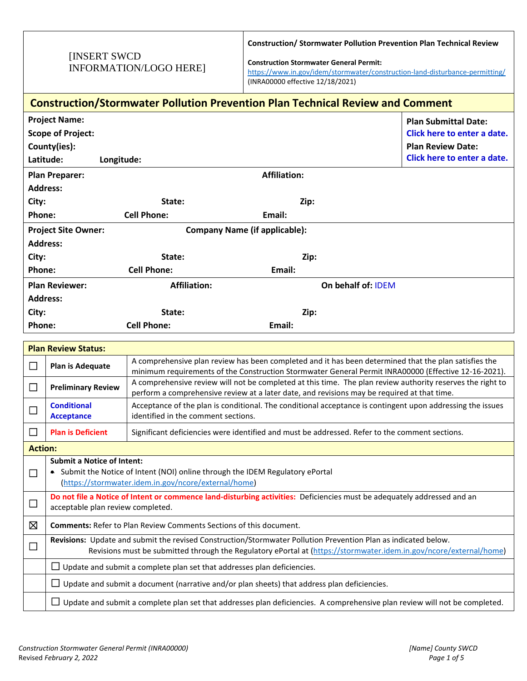## [INSERT SWCD INFORMATION/LOGO HERE]

**Construction/ Stormwater Pollution Prevention Plan Technical Review** 

**Construction Stormwater General Permit:** 

<https://www.in.gov/idem/stormwater/construction-land-disturbance-permitting/> (INRA00000 effective 12/18/2021)

| <b>Construction/Stormwater Pollution Prevention Plan Technical Review and Comment</b> |                                                                                                                                                                                                                                        |                                                                                                                                                   |                     |                                                                                                      |  |  |
|---------------------------------------------------------------------------------------|----------------------------------------------------------------------------------------------------------------------------------------------------------------------------------------------------------------------------------------|---------------------------------------------------------------------------------------------------------------------------------------------------|---------------------|------------------------------------------------------------------------------------------------------|--|--|
|                                                                                       | <b>Project Name:</b>                                                                                                                                                                                                                   |                                                                                                                                                   |                     | <b>Plan Submittal Date:</b>                                                                          |  |  |
|                                                                                       | <b>Scope of Project:</b>                                                                                                                                                                                                               |                                                                                                                                                   |                     | Click here to enter a date.                                                                          |  |  |
|                                                                                       | County(ies):                                                                                                                                                                                                                           |                                                                                                                                                   |                     | <b>Plan Review Date:</b>                                                                             |  |  |
| Latitude:                                                                             | Longitude:                                                                                                                                                                                                                             |                                                                                                                                                   |                     | Click here to enter a date.                                                                          |  |  |
|                                                                                       | <b>Plan Preparer:</b>                                                                                                                                                                                                                  |                                                                                                                                                   | <b>Affiliation:</b> |                                                                                                      |  |  |
|                                                                                       | <b>Address:</b>                                                                                                                                                                                                                        |                                                                                                                                                   |                     |                                                                                                      |  |  |
| City:                                                                                 |                                                                                                                                                                                                                                        | State:                                                                                                                                            | Zip:                |                                                                                                      |  |  |
| Phone:                                                                                |                                                                                                                                                                                                                                        | <b>Cell Phone:</b>                                                                                                                                | Email:              |                                                                                                      |  |  |
|                                                                                       | <b>Project Site Owner:</b>                                                                                                                                                                                                             | <b>Company Name (if applicable):</b>                                                                                                              |                     |                                                                                                      |  |  |
| <b>Address:</b>                                                                       |                                                                                                                                                                                                                                        |                                                                                                                                                   |                     |                                                                                                      |  |  |
| City:                                                                                 |                                                                                                                                                                                                                                        | State:                                                                                                                                            | Zip:                |                                                                                                      |  |  |
| Phone:                                                                                |                                                                                                                                                                                                                                        | <b>Cell Phone:</b>                                                                                                                                | Email:              |                                                                                                      |  |  |
|                                                                                       | <b>Plan Reviewer:</b>                                                                                                                                                                                                                  | <b>Affiliation:</b>                                                                                                                               | On behalf of: IDEM  |                                                                                                      |  |  |
| <b>Address:</b>                                                                       |                                                                                                                                                                                                                                        |                                                                                                                                                   |                     |                                                                                                      |  |  |
| City:                                                                                 |                                                                                                                                                                                                                                        | State:                                                                                                                                            | Zip:                |                                                                                                      |  |  |
| Phone:                                                                                |                                                                                                                                                                                                                                        | <b>Cell Phone:</b>                                                                                                                                | Email:              |                                                                                                      |  |  |
|                                                                                       | <b>Plan Review Status:</b>                                                                                                                                                                                                             |                                                                                                                                                   |                     |                                                                                                      |  |  |
|                                                                                       |                                                                                                                                                                                                                                        | A comprehensive plan review has been completed and it has been determined that the plan satisfies the                                             |                     |                                                                                                      |  |  |
| $\Box$                                                                                | Plan is Adequate                                                                                                                                                                                                                       |                                                                                                                                                   |                     | minimum requirements of the Construction Stormwater General Permit INRA00000 (Effective 12-16-2021). |  |  |
| □                                                                                     | A comprehensive review will not be completed at this time. The plan review authority reserves the right to<br><b>Preliminary Review</b><br>perform a comprehensive review at a later date, and revisions may be required at that time. |                                                                                                                                                   |                     |                                                                                                      |  |  |
| $\Box$                                                                                | <b>Conditional</b><br><b>Acceptance</b>                                                                                                                                                                                                | Acceptance of the plan is conditional. The conditional acceptance is contingent upon addressing the issues<br>identified in the comment sections. |                     |                                                                                                      |  |  |
| $\Box$                                                                                | <b>Plan is Deficient</b>                                                                                                                                                                                                               | Significant deficiencies were identified and must be addressed. Refer to the comment sections.                                                    |                     |                                                                                                      |  |  |
|                                                                                       | <b>Action:</b>                                                                                                                                                                                                                         |                                                                                                                                                   |                     |                                                                                                      |  |  |
| П                                                                                     | <b>Submit a Notice of Intent:</b><br>• Submit the Notice of Intent (NOI) online through the IDEM Regulatory ePortal<br>(https://stormwater.idem.in.gov/ncore/external/home)                                                            |                                                                                                                                                   |                     |                                                                                                      |  |  |
| □                                                                                     | Do not file a Notice of Intent or commence land-disturbing activities: Deficiencies must be adequately addressed and an<br>acceptable plan review completed.                                                                           |                                                                                                                                                   |                     |                                                                                                      |  |  |
| ⊠                                                                                     | <b>Comments:</b> Refer to Plan Review Comments Sections of this document.                                                                                                                                                              |                                                                                                                                                   |                     |                                                                                                      |  |  |
| □                                                                                     | Revisions: Update and submit the revised Construction/Stormwater Pollution Prevention Plan as indicated below.<br>Revisions must be submitted through the Regulatory ePortal at (https://stormwater.idem.in.gov/ncore/external/home)   |                                                                                                                                                   |                     |                                                                                                      |  |  |
|                                                                                       |                                                                                                                                                                                                                                        | $\Box$ Update and submit a complete plan set that addresses plan deficiencies.                                                                    |                     |                                                                                                      |  |  |
|                                                                                       | $\Box$ Update and submit a document (narrative and/or plan sheets) that address plan deficiencies.                                                                                                                                     |                                                                                                                                                   |                     |                                                                                                      |  |  |
|                                                                                       |                                                                                                                                                                                                                                        | $\Box$ Update and submit a complete plan set that addresses plan deficiencies. A comprehensive plan review will not be completed.                 |                     |                                                                                                      |  |  |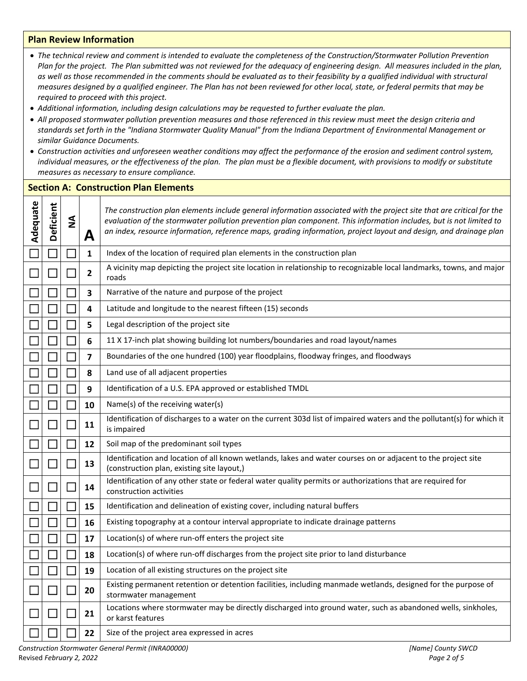## **Plan Review Information**

| • The technical review and comment is intended to evaluate the completeness of the Construction/Stormwater Pollution Prevention<br>Plan for the project. The Plan submitted was not reviewed for the adequacy of engineering design. All measures included in the plan,<br>as well as those recommended in the comments should be evaluated as to their feasibility by a qualified individual with structural<br>measures designed by a qualified engineer. The Plan has not been reviewed for other local, state, or federal permits that may be<br>required to proceed with this project.<br>. Additional information, including design calculations may be requested to further evaluate the plan.<br>• All proposed stormwater pollution prevention measures and those referenced in this review must meet the design criteria and<br>standards set forth in the "Indiana Stormwater Quality Manual" from the Indiana Department of Environmental Management or<br>similar Guidance Documents.<br>• Construction activities and unforeseen weather conditions may affect the performance of the erosion and sediment control system,<br>individual measures, or the effectiveness of the plan. The plan must be a flexible document, with provisions to modify or substitute<br>measures as necessary to ensure compliance. |                                                                                                                                                                                                                                                                                                                                                                                                    |        |                |                                                                                                                                                             |
|---------------------------------------------------------------------------------------------------------------------------------------------------------------------------------------------------------------------------------------------------------------------------------------------------------------------------------------------------------------------------------------------------------------------------------------------------------------------------------------------------------------------------------------------------------------------------------------------------------------------------------------------------------------------------------------------------------------------------------------------------------------------------------------------------------------------------------------------------------------------------------------------------------------------------------------------------------------------------------------------------------------------------------------------------------------------------------------------------------------------------------------------------------------------------------------------------------------------------------------------------------------------------------------------------------------------------------|----------------------------------------------------------------------------------------------------------------------------------------------------------------------------------------------------------------------------------------------------------------------------------------------------------------------------------------------------------------------------------------------------|--------|----------------|-------------------------------------------------------------------------------------------------------------------------------------------------------------|
|                                                                                                                                                                                                                                                                                                                                                                                                                                                                                                                                                                                                                                                                                                                                                                                                                                                                                                                                                                                                                                                                                                                                                                                                                                                                                                                                 |                                                                                                                                                                                                                                                                                                                                                                                                    |        |                | <b>Section A: Construction Plan Elements</b>                                                                                                                |
| Adequate                                                                                                                                                                                                                                                                                                                                                                                                                                                                                                                                                                                                                                                                                                                                                                                                                                                                                                                                                                                                                                                                                                                                                                                                                                                                                                                        | Deficient<br>The construction plan elements include general information associated with the project site that are critical for the<br>$\mathbf{z}$<br>evaluation of the stormwater pollution prevention plan component. This information includes, but is not limited to<br>an index, resource information, reference maps, grading information, project layout and design, and drainage plan<br>A |        |                |                                                                                                                                                             |
|                                                                                                                                                                                                                                                                                                                                                                                                                                                                                                                                                                                                                                                                                                                                                                                                                                                                                                                                                                                                                                                                                                                                                                                                                                                                                                                                 |                                                                                                                                                                                                                                                                                                                                                                                                    |        | 1              | Index of the location of required plan elements in the construction plan                                                                                    |
|                                                                                                                                                                                                                                                                                                                                                                                                                                                                                                                                                                                                                                                                                                                                                                                                                                                                                                                                                                                                                                                                                                                                                                                                                                                                                                                                 | $\Box$                                                                                                                                                                                                                                                                                                                                                                                             |        | $\overline{2}$ | A vicinity map depicting the project site location in relationship to recognizable local landmarks, towns, and major<br>roads                               |
|                                                                                                                                                                                                                                                                                                                                                                                                                                                                                                                                                                                                                                                                                                                                                                                                                                                                                                                                                                                                                                                                                                                                                                                                                                                                                                                                 |                                                                                                                                                                                                                                                                                                                                                                                                    |        | 3              | Narrative of the nature and purpose of the project                                                                                                          |
|                                                                                                                                                                                                                                                                                                                                                                                                                                                                                                                                                                                                                                                                                                                                                                                                                                                                                                                                                                                                                                                                                                                                                                                                                                                                                                                                 |                                                                                                                                                                                                                                                                                                                                                                                                    |        | 4              | Latitude and longitude to the nearest fifteen (15) seconds                                                                                                  |
|                                                                                                                                                                                                                                                                                                                                                                                                                                                                                                                                                                                                                                                                                                                                                                                                                                                                                                                                                                                                                                                                                                                                                                                                                                                                                                                                 |                                                                                                                                                                                                                                                                                                                                                                                                    |        | 5              | Legal description of the project site                                                                                                                       |
|                                                                                                                                                                                                                                                                                                                                                                                                                                                                                                                                                                                                                                                                                                                                                                                                                                                                                                                                                                                                                                                                                                                                                                                                                                                                                                                                 |                                                                                                                                                                                                                                                                                                                                                                                                    |        | 6              | 11 X 17-inch plat showing building lot numbers/boundaries and road layout/names                                                                             |
|                                                                                                                                                                                                                                                                                                                                                                                                                                                                                                                                                                                                                                                                                                                                                                                                                                                                                                                                                                                                                                                                                                                                                                                                                                                                                                                                 |                                                                                                                                                                                                                                                                                                                                                                                                    |        | 7              | Boundaries of the one hundred (100) year floodplains, floodway fringes, and floodways                                                                       |
|                                                                                                                                                                                                                                                                                                                                                                                                                                                                                                                                                                                                                                                                                                                                                                                                                                                                                                                                                                                                                                                                                                                                                                                                                                                                                                                                 |                                                                                                                                                                                                                                                                                                                                                                                                    |        | 8              | Land use of all adjacent properties                                                                                                                         |
|                                                                                                                                                                                                                                                                                                                                                                                                                                                                                                                                                                                                                                                                                                                                                                                                                                                                                                                                                                                                                                                                                                                                                                                                                                                                                                                                 |                                                                                                                                                                                                                                                                                                                                                                                                    |        | 9              | Identification of a U.S. EPA approved or established TMDL                                                                                                   |
|                                                                                                                                                                                                                                                                                                                                                                                                                                                                                                                                                                                                                                                                                                                                                                                                                                                                                                                                                                                                                                                                                                                                                                                                                                                                                                                                 |                                                                                                                                                                                                                                                                                                                                                                                                    |        | 10             | Name(s) of the receiving water(s)                                                                                                                           |
|                                                                                                                                                                                                                                                                                                                                                                                                                                                                                                                                                                                                                                                                                                                                                                                                                                                                                                                                                                                                                                                                                                                                                                                                                                                                                                                                 |                                                                                                                                                                                                                                                                                                                                                                                                    |        | 11             | Identification of discharges to a water on the current 303d list of impaired waters and the pollutant(s) for which it<br>is impaired                        |
|                                                                                                                                                                                                                                                                                                                                                                                                                                                                                                                                                                                                                                                                                                                                                                                                                                                                                                                                                                                                                                                                                                                                                                                                                                                                                                                                 |                                                                                                                                                                                                                                                                                                                                                                                                    |        | 12             | Soil map of the predominant soil types                                                                                                                      |
|                                                                                                                                                                                                                                                                                                                                                                                                                                                                                                                                                                                                                                                                                                                                                                                                                                                                                                                                                                                                                                                                                                                                                                                                                                                                                                                                 |                                                                                                                                                                                                                                                                                                                                                                                                    |        | 13             | Identification and location of all known wetlands, lakes and water courses on or adjacent to the project site<br>(construction plan, existing site layout,) |
|                                                                                                                                                                                                                                                                                                                                                                                                                                                                                                                                                                                                                                                                                                                                                                                                                                                                                                                                                                                                                                                                                                                                                                                                                                                                                                                                 |                                                                                                                                                                                                                                                                                                                                                                                                    | $\Box$ | 14             | Identification of any other state or federal water quality permits or authorizations that are required for<br>construction activities                       |
|                                                                                                                                                                                                                                                                                                                                                                                                                                                                                                                                                                                                                                                                                                                                                                                                                                                                                                                                                                                                                                                                                                                                                                                                                                                                                                                                 |                                                                                                                                                                                                                                                                                                                                                                                                    |        | 15             | Identification and delineation of existing cover, including natural buffers                                                                                 |
|                                                                                                                                                                                                                                                                                                                                                                                                                                                                                                                                                                                                                                                                                                                                                                                                                                                                                                                                                                                                                                                                                                                                                                                                                                                                                                                                 |                                                                                                                                                                                                                                                                                                                                                                                                    |        | 16             | Existing topography at a contour interval appropriate to indicate drainage patterns                                                                         |
|                                                                                                                                                                                                                                                                                                                                                                                                                                                                                                                                                                                                                                                                                                                                                                                                                                                                                                                                                                                                                                                                                                                                                                                                                                                                                                                                 |                                                                                                                                                                                                                                                                                                                                                                                                    |        | 17             | Location(s) of where run-off enters the project site                                                                                                        |
|                                                                                                                                                                                                                                                                                                                                                                                                                                                                                                                                                                                                                                                                                                                                                                                                                                                                                                                                                                                                                                                                                                                                                                                                                                                                                                                                 |                                                                                                                                                                                                                                                                                                                                                                                                    |        | 18             | Location(s) of where run-off discharges from the project site prior to land disturbance                                                                     |
|                                                                                                                                                                                                                                                                                                                                                                                                                                                                                                                                                                                                                                                                                                                                                                                                                                                                                                                                                                                                                                                                                                                                                                                                                                                                                                                                 |                                                                                                                                                                                                                                                                                                                                                                                                    |        | 19             | Location of all existing structures on the project site                                                                                                     |
|                                                                                                                                                                                                                                                                                                                                                                                                                                                                                                                                                                                                                                                                                                                                                                                                                                                                                                                                                                                                                                                                                                                                                                                                                                                                                                                                 |                                                                                                                                                                                                                                                                                                                                                                                                    |        | 20             | Existing permanent retention or detention facilities, including manmade wetlands, designed for the purpose of<br>stormwater management                      |
|                                                                                                                                                                                                                                                                                                                                                                                                                                                                                                                                                                                                                                                                                                                                                                                                                                                                                                                                                                                                                                                                                                                                                                                                                                                                                                                                 |                                                                                                                                                                                                                                                                                                                                                                                                    |        | 21             | Locations where stormwater may be directly discharged into ground water, such as abandoned wells, sinkholes,<br>or karst features                           |
|                                                                                                                                                                                                                                                                                                                                                                                                                                                                                                                                                                                                                                                                                                                                                                                                                                                                                                                                                                                                                                                                                                                                                                                                                                                                                                                                 |                                                                                                                                                                                                                                                                                                                                                                                                    |        | 22             | Size of the project area expressed in acres                                                                                                                 |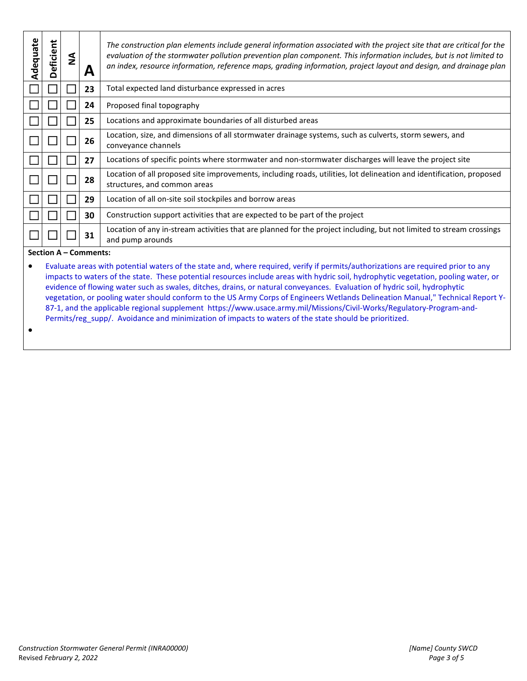| Adequate | Deficient | ş | A  | The construction plan elements include general information associated with the project site that are critical for the<br>evaluation of the stormwater pollution prevention plan component. This information includes, but is not limited to<br>an index, resource information, reference maps, grading information, project layout and design, and drainage plan |
|----------|-----------|---|----|------------------------------------------------------------------------------------------------------------------------------------------------------------------------------------------------------------------------------------------------------------------------------------------------------------------------------------------------------------------|
|          |           |   | 23 | Total expected land disturbance expressed in acres                                                                                                                                                                                                                                                                                                               |
|          |           |   | 24 | Proposed final topography                                                                                                                                                                                                                                                                                                                                        |
|          |           |   | 25 | Locations and approximate boundaries of all disturbed areas                                                                                                                                                                                                                                                                                                      |
|          |           |   | 26 | Location, size, and dimensions of all stormwater drainage systems, such as culverts, storm sewers, and<br>conveyance channels                                                                                                                                                                                                                                    |
|          |           |   | 27 | Locations of specific points where stormwater and non-stormwater discharges will leave the project site                                                                                                                                                                                                                                                          |
|          |           |   | 28 | Location of all proposed site improvements, including roads, utilities, lot delineation and identification, proposed<br>structures, and common areas                                                                                                                                                                                                             |
|          |           |   | 29 | Location of all on-site soil stockpiles and borrow areas                                                                                                                                                                                                                                                                                                         |
|          |           |   | 30 | Construction support activities that are expected to be part of the project                                                                                                                                                                                                                                                                                      |
|          |           |   | 31 | Location of any in-stream activities that are planned for the project including, but not limited to stream crossings<br>and pump arounds                                                                                                                                                                                                                         |

**Section A – Comments:** 

 Evaluate areas with potential waters of the state and, where required, verify if permits/authorizations are required prior to any impacts to waters of the state. These potential resources include areas with hydric soil, hydrophytic vegetation, pooling water, or evidence of flowing water such as swales, ditches, drains, or natural conveyances. Evaluation of hydric soil, hydrophytic vegetation, or pooling water should conform to the US Army Corps of Engineers Wetlands Delineation Manual," Technical Report Y-87-1, and the applicable regional supplement [https://www.usace.army.mil/Missions/Civil-Works/Regulatory-Program-and-](https://www.usace.army.mil/Missions/Civil-Works/Regulatory-Program-and-Permits/reg_supp/)[Permits/reg\\_supp/.](https://www.usace.army.mil/Missions/Civil-Works/Regulatory-Program-and-Permits/reg_supp/) Avoidance and minimization of impacts to waters of the state should be prioritized.

 $\bullet$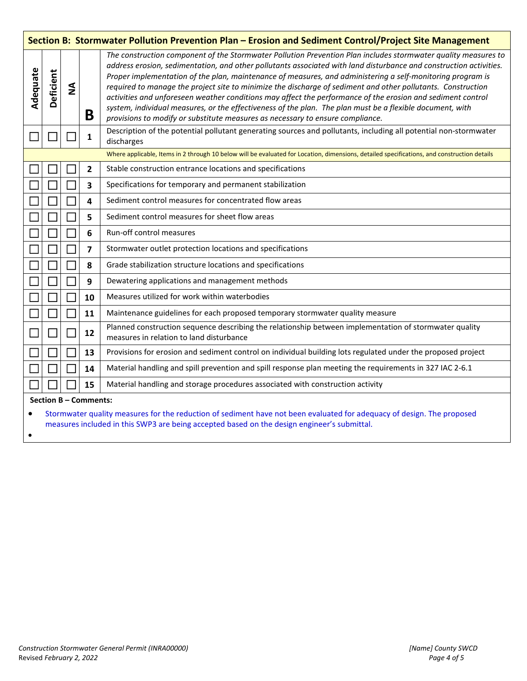| Section B: Stormwater Pollution Prevention Plan - Erosion and Sediment Control/Project Site Management                                      |                                                                                                                                                                                                                       |              |                         |                                                                                                                                                                                                                                                                                                                                                                                                                                                                                                                                                                                                                                                                                                                                                                                  |
|---------------------------------------------------------------------------------------------------------------------------------------------|-----------------------------------------------------------------------------------------------------------------------------------------------------------------------------------------------------------------------|--------------|-------------------------|----------------------------------------------------------------------------------------------------------------------------------------------------------------------------------------------------------------------------------------------------------------------------------------------------------------------------------------------------------------------------------------------------------------------------------------------------------------------------------------------------------------------------------------------------------------------------------------------------------------------------------------------------------------------------------------------------------------------------------------------------------------------------------|
| Adequate                                                                                                                                    | Deficient                                                                                                                                                                                                             | $\mathbf{z}$ | B                       | The construction component of the Stormwater Pollution Prevention Plan includes stormwater quality measures to<br>address erosion, sedimentation, and other pollutants associated with land disturbance and construction activities.<br>Proper implementation of the plan, maintenance of measures, and administering a self-monitoring program is<br>required to manage the project site to minimize the discharge of sediment and other pollutants. Construction<br>activities and unforeseen weather conditions may affect the performance of the erosion and sediment control<br>system, individual measures, or the effectiveness of the plan. The plan must be a flexible document, with<br>provisions to modify or substitute measures as necessary to ensure compliance. |
|                                                                                                                                             |                                                                                                                                                                                                                       |              | 1                       | Description of the potential pollutant generating sources and pollutants, including all potential non-stormwater<br>discharges                                                                                                                                                                                                                                                                                                                                                                                                                                                                                                                                                                                                                                                   |
| Where applicable, Items in 2 through 10 below will be evaluated for Location, dimensions, detailed specifications, and construction details |                                                                                                                                                                                                                       |              |                         |                                                                                                                                                                                                                                                                                                                                                                                                                                                                                                                                                                                                                                                                                                                                                                                  |
|                                                                                                                                             |                                                                                                                                                                                                                       |              | $\overline{2}$          | Stable construction entrance locations and specifications                                                                                                                                                                                                                                                                                                                                                                                                                                                                                                                                                                                                                                                                                                                        |
|                                                                                                                                             |                                                                                                                                                                                                                       |              | 3                       | Specifications for temporary and permanent stabilization                                                                                                                                                                                                                                                                                                                                                                                                                                                                                                                                                                                                                                                                                                                         |
|                                                                                                                                             |                                                                                                                                                                                                                       |              | 4                       | Sediment control measures for concentrated flow areas                                                                                                                                                                                                                                                                                                                                                                                                                                                                                                                                                                                                                                                                                                                            |
|                                                                                                                                             |                                                                                                                                                                                                                       |              | 5                       | Sediment control measures for sheet flow areas                                                                                                                                                                                                                                                                                                                                                                                                                                                                                                                                                                                                                                                                                                                                   |
|                                                                                                                                             |                                                                                                                                                                                                                       |              | 6                       | Run-off control measures                                                                                                                                                                                                                                                                                                                                                                                                                                                                                                                                                                                                                                                                                                                                                         |
|                                                                                                                                             |                                                                                                                                                                                                                       |              | $\overline{\mathbf{z}}$ | Stormwater outlet protection locations and specifications                                                                                                                                                                                                                                                                                                                                                                                                                                                                                                                                                                                                                                                                                                                        |
|                                                                                                                                             |                                                                                                                                                                                                                       |              | 8                       | Grade stabilization structure locations and specifications                                                                                                                                                                                                                                                                                                                                                                                                                                                                                                                                                                                                                                                                                                                       |
|                                                                                                                                             |                                                                                                                                                                                                                       |              | 9                       | Dewatering applications and management methods                                                                                                                                                                                                                                                                                                                                                                                                                                                                                                                                                                                                                                                                                                                                   |
|                                                                                                                                             |                                                                                                                                                                                                                       |              | 10                      | Measures utilized for work within waterbodies                                                                                                                                                                                                                                                                                                                                                                                                                                                                                                                                                                                                                                                                                                                                    |
|                                                                                                                                             |                                                                                                                                                                                                                       |              | 11                      | Maintenance guidelines for each proposed temporary stormwater quality measure                                                                                                                                                                                                                                                                                                                                                                                                                                                                                                                                                                                                                                                                                                    |
|                                                                                                                                             | $\mathbb{R}$                                                                                                                                                                                                          |              | 12                      | Planned construction sequence describing the relationship between implementation of stormwater quality<br>measures in relation to land disturbance                                                                                                                                                                                                                                                                                                                                                                                                                                                                                                                                                                                                                               |
|                                                                                                                                             |                                                                                                                                                                                                                       |              | 13                      | Provisions for erosion and sediment control on individual building lots regulated under the proposed project                                                                                                                                                                                                                                                                                                                                                                                                                                                                                                                                                                                                                                                                     |
|                                                                                                                                             |                                                                                                                                                                                                                       |              | 14                      | Material handling and spill prevention and spill response plan meeting the requirements in 327 IAC 2-6.1                                                                                                                                                                                                                                                                                                                                                                                                                                                                                                                                                                                                                                                                         |
|                                                                                                                                             |                                                                                                                                                                                                                       |              | 15                      | Material handling and storage procedures associated with construction activity                                                                                                                                                                                                                                                                                                                                                                                                                                                                                                                                                                                                                                                                                                   |
|                                                                                                                                             |                                                                                                                                                                                                                       |              | Section B - Comments:   |                                                                                                                                                                                                                                                                                                                                                                                                                                                                                                                                                                                                                                                                                                                                                                                  |
|                                                                                                                                             | Stormwater quality measures for the reduction of sediment have not been evaluated for adequacy of design. The proposed<br>measures included in this SWP3 are being accepted based on the design engineer's submittal. |              |                         |                                                                                                                                                                                                                                                                                                                                                                                                                                                                                                                                                                                                                                                                                                                                                                                  |

 $\bullet$